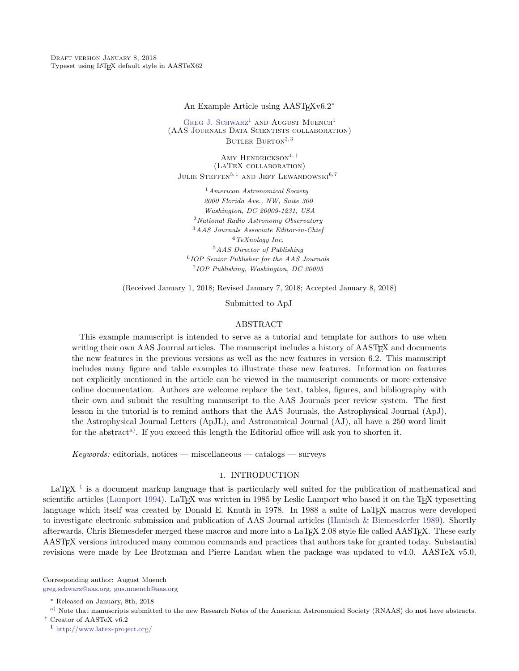DRAFT VERSION JANUARY 8, 2018 Typeset using LATEX default style in AASTeX62

An Example Article using AAST<sub>F</sub>Xv6.2<sup>[∗](#page-0-0)</sup>

GREG J. SCHWARZ<sup>1</sup> AND AUGUST MUENCH<sup>1</sup> (AAS Journals Data Scientists collaboration) BUTLER  $B$ URTON<sup>2, 3</sup>

AMY HENDRICKSON<sup>4,  $\dagger$ </sup> (LaTeX collaboration) JULIE STEFFEN<sup>5, 1</sup> AND JEFF LEWANDOWSKI<sup>6, 7</sup>

American Astronomical Society 2000 Florida Ave., NW, Suite 300 Washington, DC 20009-1231, USA National Radio Astronomy Observatory AAS Journals Associate Editor-in-Chief TeXnology Inc. AAS Director of Publishing IOP Senior Publisher for the AAS Journals IOP Publishing, Washington, DC 20005

(Received January 1, 2018; Revised January 7, 2018; Accepted January 8, 2018)

Submitted to ApJ

#### ABSTRACT

This example manuscript is intended to serve as a tutorial and template for authors to use when writing their own AAS Journal articles. The manuscript includes a history of AAST<sub>EX</sub> and documents the new features in the previous versions as well as the new features in version 6.2. This manuscript includes many figure and table examples to illustrate these new features. Information on features not explicitly mentioned in the article can be viewed in the manuscript comments or more extensive online documentation. Authors are welcome replace the text, tables, figures, and bibliography with their own and submit the resulting manuscript to the AAS Journals peer review system. The first lesson in the tutorial is to remind authors that the AAS Journals, the Astrophysical Journal (ApJ), the Astrophysical Journal Letters (ApJL), and Astronomical Journal (AJ), all have a 250 word limit for the abstract<sup>a</sup>). If you exceed this length the Editorial office will ask you to shorten it.

 $Keywords:$  editorials, notices — miscellaneous — catalogs — surveys

### 1. INTRODUCTION

LaT<sub>E</sub>X<sup> $1$ </sup> is a document markup language that is particularly well suited for the publication of mathematical and scientific articles [\(Lamport](#page-17-0) [1994\)](#page-17-0). LaT<sub>E</sub>X was written in 1985 by Leslie Lamport who based it on the T<sub>E</sub>X typesetting language which itself was created by Donald E. Knuth in 1978. In 1988 a suite of LaT<sub>EX</sub> macros were developed to investigate electronic submission and publication of AAS Journal articles [\(Hanisch & Biemesderfer](#page-17-1) [1989\)](#page-17-1). Shortly afterwards, Chris Biemesdefer merged these macros and more into a LaT<sub>E</sub>X 2.08 style file called AAST<sub>E</sub>X. These early AASTEX versions introduced many common commands and practices that authors take for granted today. Substantial revisions were made by Lee Brotzman and Pierre Landau when the package was updated to v4.0. AASTeX v5.0,

Corresponding author: August Muench [greg.schwarz@aas.org, gus.muench@aas.org](mailto: greg.schwarz@aas.org, gus.muench@aas.org)

<span id="page-0-1"></span>a) Note that manuscripts submitted to the new Research Notes of the American Astronomical Society (RNAAS) do not have abstracts. † Creator of AASTeX v6.2

<span id="page-0-2"></span><sup>1</sup> <http://www.latex-project.org/>

<span id="page-0-0"></span><sup>∗</sup> Released on January, 8th, 2018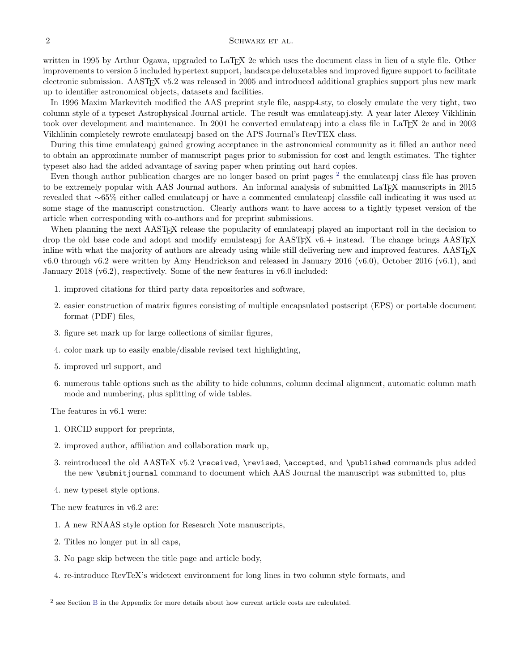written in 1995 by Arthur Ogawa, upgraded to LaT<sub>E</sub>X 2e which uses the document class in lieu of a style file. Other improvements to version 5 included hypertext support, landscape deluxetables and improved figure support to facilitate electronic submission. AASTEX v5.2 was released in 2005 and introduced additional graphics support plus new mark up to identifier astronomical objects, datasets and facilities.

In 1996 Maxim Markevitch modified the AAS preprint style file, aaspp4.sty, to closely emulate the very tight, two column style of a typeset Astrophysical Journal article. The result was emulateapj.sty. A year later Alexey Vikhlinin took over development and maintenance. In 2001 he converted emulateapj into a class file in LaT<sub>E</sub>X 2e and in 2003 Vikhlinin completely rewrote emulateapj based on the APS Journal's RevTEX class.

During this time emulateapj gained growing acceptance in the astronomical community as it filled an author need to obtain an approximate number of manuscript pages prior to submission for cost and length estimates. The tighter typeset also had the added advantage of saving paper when printing out hard copies.

Even though author publication charges are no longer based on print pages  $2$  the emulateapj class file has proven to be extremely popular with AAS Journal authors. An informal analysis of submitted LaTEX manuscripts in 2015 revealed that ∼65% either called emulateapj or have a commented emulateapj classfile call indicating it was used at some stage of the manuscript construction. Clearly authors want to have access to a tightly typeset version of the article when corresponding with co-authors and for preprint submissions.

When planning the next AASTEX release the popularity of emulateapj played an important roll in the decision to drop the old base code and adopt and modify emulateapj for  $\text{AAST}_{\text{F}}X$  v6.+ instead. The change brings  $\text{AAST}_{\text{F}}X$ inline with what the majority of authors are already using while still delivering new and improved features. AASTEX v6.0 through v6.2 were written by Amy Hendrickson and released in January 2016 (v6.0), October 2016 (v6.1), and January 2018 (v6.2), respectively. Some of the new features in v6.0 included:

- 1. improved citations for third party data repositories and software,
- 2. easier construction of matrix figures consisting of multiple encapsulated postscript (EPS) or portable document format (PDF) files,
- 3. figure set mark up for large collections of similar figures,
- 4. color mark up to easily enable/disable revised text highlighting,
- 5. improved url support, and
- 6. numerous table options such as the ability to hide columns, column decimal alignment, automatic column math mode and numbering, plus splitting of wide tables.

The features in v6.1 were:

- 1. ORCID support for preprints,
- 2. improved author, affiliation and collaboration mark up,
- 3. reintroduced the old AASTeX v5.2 \received, \revised, \accepted, and \published commands plus added the new \submitjournal command to document which AAS Journal the manuscript was submitted to, plus
- 4. new typeset style options.

The new features in v6.2 are:

- 1. A new RNAAS style option for Research Note manuscripts,
- 2. Titles no longer put in all caps,
- 3. No page skip between the title page and article body,
- 4. re-introduce RevTeX's widetext environment for long lines in two column style formats, and

<span id="page-1-0"></span><sup>2</sup> see Section [B](#page-14-0) in the Appendix for more details about how current article costs are calculated.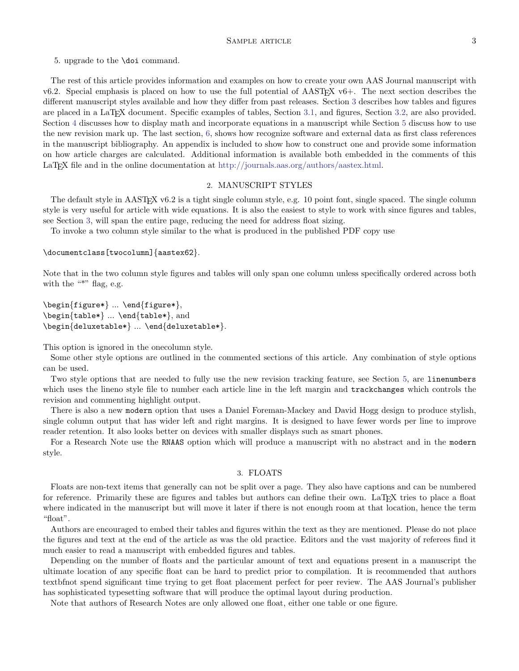5. upgrade to the \doi command.

The rest of this article provides information and examples on how to create your own AAS Journal manuscript with v6.2. Special emphasis is placed on how to use the full potential of  $\text{AASTEX }$  v6+. The next section describes the different manuscript styles available and how they differ from past releases. Section [3](#page-2-0) describes how tables and figures are placed in a LaTEX document. Specific examples of tables, Section [3.1,](#page-4-0) and figures, Section [3.2,](#page-7-0) are also provided. Section [4](#page-10-0) discusses how to display math and incorporate equations in a manuscript while Section [5](#page-12-0) discuss how to use the new revision mark up. The last section, [6,](#page-13-0) shows how recognize software and external data as first class references in the manuscript bibliography. An appendix is included to show how to construct one and provide some information on how article charges are calculated. Additional information is available both embedded in the comments of this LaT<sub>EX</sub> file and in the online documentation at [http://journals.aas.org/authors/aastex.html.](http://journals.aas.org/authors/aastex.html)

#### 2. MANUSCRIPT STYLES

The default style in AASTEX v6.2 is a tight single column style, e.g. 10 point font, single spaced. The single column style is very useful for article with wide equations. It is also the easiest to style to work with since figures and tables, see Section [3,](#page-2-0) will span the entire page, reducing the need for address float sizing.

To invoke a two column style similar to the what is produced in the published PDF copy use

#### \documentclass[twocolumn]{aastex62}.

Note that in the two column style figures and tables will only span one column unless specifically ordered across both with the "\*" flag, e.g.

```
\begin{figure*} ... \end{figure*},
\begin{table*} ... \end{table*}, and
\begin{deluxetable*} ... \end{deluxetable*}.
```
This option is ignored in the onecolumn style.

Some other style options are outlined in the commented sections of this article. Any combination of style options can be used.

Two style options that are needed to fully use the new revision tracking feature, see Section [5,](#page-12-0) are linenumbers which uses the lineno style file to number each article line in the left margin and trackchanges which controls the revision and commenting highlight output.

There is also a new modern option that uses a Daniel Foreman-Mackey and David Hogg design to produce stylish, single column output that has wider left and right margins. It is designed to have fewer words per line to improve reader retention. It also looks better on devices with smaller displays such as smart phones.

For a Research Note use the RNAAS option which will produce a manuscript with no abstract and in the modern style.

#### 3. FLOATS

<span id="page-2-0"></span>Floats are non-text items that generally can not be split over a page. They also have captions and can be numbered for reference. Primarily these are figures and tables but authors can define their own. LaTFX tries to place a float where indicated in the manuscript but will move it later if there is not enough room at that location, hence the term "float".

Authors are encouraged to embed their tables and figures within the text as they are mentioned. Please do not place the figures and text at the end of the article as was the old practice. Editors and the vast majority of referees find it much easier to read a manuscript with embedded figures and tables.

Depending on the number of floats and the particular amount of text and equations present in a manuscript the ultimate location of any specific float can be hard to predict prior to compilation. It is recommended that authors textbfnot spend significant time trying to get float placement perfect for peer review. The AAS Journal's publisher has sophisticated typesetting software that will produce the optimal layout during production.

<span id="page-2-1"></span>Note that authors of Research Notes are only allowed one float, either one table or one figure.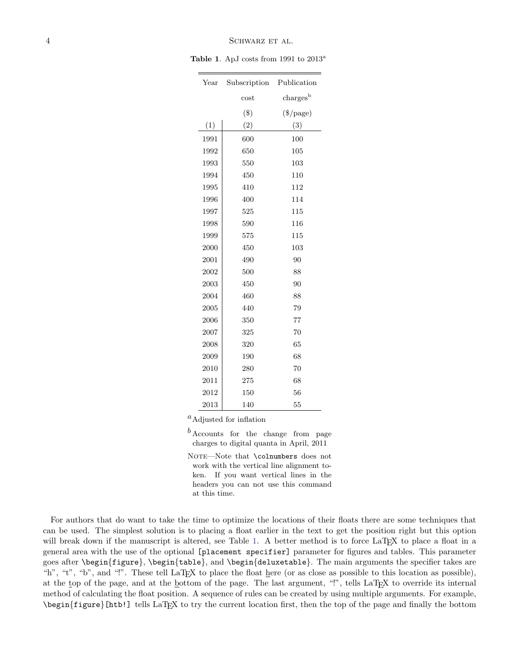### 4 SCHWARZ ET AL.

Table 1. ApJ costs from 1991 to 2013<sup>a</sup>

| Year | Subscription | Publication                     |
|------|--------------|---------------------------------|
|      | $\cos t$     | $\mathrm{charges}^{\mathrm{b}}$ |
|      | $(\$\)$      | $(\$$ /page)                    |
| (1)  | (2)          | (3)                             |
| 1991 | 600          | 100                             |
| 1992 | 650          | 105                             |
| 1993 | 550          | 103                             |
| 1994 | 450          | 110                             |
| 1995 | 410          | 112                             |
| 1996 | 400          | 114                             |
| 1997 | 525          | 115                             |
| 1998 | 590          | 116                             |
| 1999 | 575          | 115                             |
| 2000 | 450          | 103                             |
| 2001 | 490          | 90                              |
| 2002 | 500          | 88                              |
| 2003 | 450          | 90                              |
| 2004 | 460          | 88                              |
| 2005 | 440          | 79                              |
| 2006 | 350          | 77                              |
| 2007 | 325          | 70                              |
| 2008 | 320          | 65                              |
| 2009 | 190          | 68                              |
| 2010 | 280          | 70                              |
| 2011 | 275          | 68                              |
| 2012 | 150          | 56                              |
| 2013 | 140          | 55                              |
|      |              |                                 |

 ${}^a$ Adjusted for inflation

 $b$  Accounts for the change from page charges to digital quanta in April, 2011

NOTE-Note that \colnumbers does not work with the vertical line alignment token. If you want vertical lines in the headers you can not use this command at this time.

For authors that do want to take the time to optimize the locations of their floats there are some techniques that can be used. The simplest solution is to placing a float earlier in the text to get the position right but this option will break down if the manuscript is altered, see Table [1.](#page-2-1) A better method is to force LaT<sub>E</sub>X to place a float in a general area with the use of the optional [placement specifier] parameter for figures and tables. This parameter goes after \begin{figure}, \begin{table}, and \begin{deluxetable}. The main arguments the specifier takes are "h", "t", "b", and "!". These tell LaTEX to place the float here (or as close as possible to this location as possible), at the top of the page, and at the bottom of the page. The last argument, "!", tells LaTFX to override its internal method of calculating the float position. A sequence of rules can be created by using multiple arguments. For example, \begin{figure}[htb!] tells LaTEX to try the current location first, then the top of the page and finally the bottom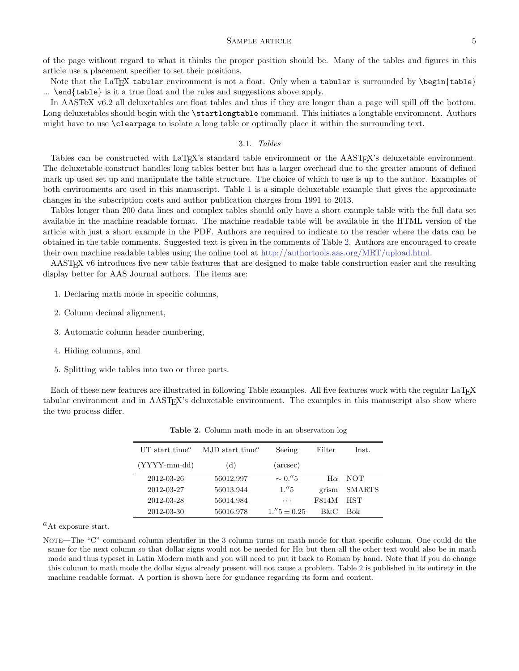### SAMPLE ARTICLE 5

of the page without regard to what it thinks the proper position should be. Many of the tables and figures in this article use a placement specifier to set their positions.

Note that the LaT<sub>EX</sub> tabular environment is not a float. Only when a tabular is surrounded by  $\begin{cases} \begin{pmatrix} 1 & \text{if } n \leq n \\ 0 & \text{otherwise} \end{pmatrix} \end{cases}$ ... \end{table} is it a true float and the rules and suggestions above apply.

In AASTeX v6.2 all deluxetables are float tables and thus if they are longer than a page will spill off the bottom. Long deluxetables should begin with the **\startlongtable** command. This initiates a longtable environment. Authors might have to use \clearpage to isolate a long table or optimally place it within the surrounding text.

### 3.1. Tables

<span id="page-4-0"></span>Tables can be constructed with LaTEX's standard table environment or the AASTEX's deluxetable environment. The deluxetable construct handles long tables better but has a larger overhead due to the greater amount of defined mark up used set up and manipulate the table structure. The choice of which to use is up to the author. Examples of both environments are used in this manuscript. Table [1](#page-2-1) is a simple deluxetable example that gives the approximate changes in the subscription costs and author publication charges from 1991 to 2013.

Tables longer than 200 data lines and complex tables should only have a short example table with the full data set available in the machine readable format. The machine readable table will be available in the HTML version of the article with just a short example in the PDF. Authors are required to indicate to the reader where the data can be obtained in the table comments. Suggested text is given in the comments of Table [2.](#page-4-1) Authors are encouraged to create their own machine readable tables using the online tool at [http://authortools.aas.org/MRT/upload.html.](http://authortools.aas.org/MRT/upload.html)

AASTEX v6 introduces five new table features that are designed to make table construction easier and the resulting display better for AAS Journal authors. The items are:

- 1. Declaring math mode in specific columns,
- 2. Column decimal alignment,
- 3. Automatic column header numbering,
- 4. Hiding columns, and
- 5. Splitting wide tables into two or three parts.

Each of these new features are illustrated in following Table examples. All five features work with the regular LaTEX tabular environment and in AASTEX's deluxetable environment. The examples in this manuscript also show where the two process differ.

| UT start time $^{\rm a}$ | MJD start time <sup>a</sup> | Seeing                    | Filter    | Inst.         |
|--------------------------|-----------------------------|---------------------------|-----------|---------------|
| $(YYYY-mm-dd)$           | (d)                         | $(\text{arcsec})$         |           |               |
| 2012-03-26               | 56012.997                   | $\sim 0.^{\prime\prime}5$ | $H\alpha$ | <b>NOT</b>    |
| 2012-03-27               | 56013.944                   | 1."5                      | grism     | <b>SMARTS</b> |
| 2012-03-28               | 56014.984                   | $\cdots$                  | F814M     | <b>HST</b>    |
| 2012-03-30               | 56016.978                   | $1.^{\prime\prime}5+0.25$ | B&C       | Bok           |

<span id="page-4-1"></span>Table 2. Column math mode in an observation log

 ${}^a$ At exposure start.

NOTE—The "C" command column identifier in the 3 column turns on math mode for that specific column. One could do the same for the next column so that dollar signs would not be needed for  $H\alpha$  but then all the other text would also be in math mode and thus typeset in Latin Modern math and you will need to put it back to Roman by hand. Note that if you do change this column to math mode the dollar signs already present will not cause a problem. Table [2](#page-4-1) is published in its entirety in the machine readable format. A portion is shown here for guidance regarding its form and content.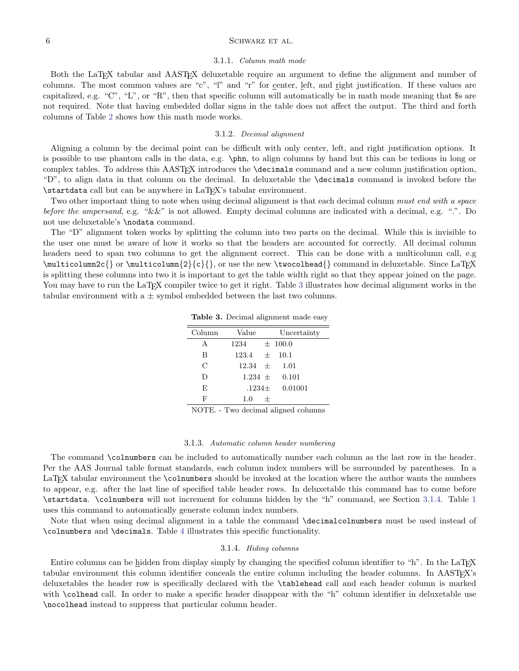### $6$  SCHWARZ ET AL.

#### 3.1.1. Column math mode

Both the LaTEX tabular and AASTEX deluxetable require an argument to define the alignment and number of columns. The most common values are "c", "l" and "r" for center, left, and right justification. If these values are capitalized, e.g. "C", "L", or "R", then that specific column will automatically be in math mode meaning that \$s are not required. Note that having embedded dollar signs in the table does not affect the output. The third and forth columns of Table [2](#page-4-1) shows how this math mode works.

### 3.1.2. Decimal alignment

Aligning a column by the decimal point can be difficult with only center, left, and right justification options. It is possible to use phantom calls in the data, e.g. \phn, to align columns by hand but this can be tedious in long or complex tables. To address this AASTEX introduces the \decimals command and a new column justification option, "D", to align data in that column on the decimal. In deluxetable the \decimals command is invoked before the \startdata call but can be anywhere in LaTEX's tabular environment.

Two other important thing to note when using decimal alignment is that each decimal column must end with a space before the ampersand, e.g. " $&&''$  is not allowed. Empty decimal columns are indicated with a decimal, e.g. ".". Do not use deluxetable's \nodata command.

The "D" alignment token works by splitting the column into two parts on the decimal. While this is invisible to the user one must be aware of how it works so that the headers are accounted for correctly. All decimal column headers need to span two columns to get the alignment correct. This can be done with a multicolumn call, e.g  $\mathcal{S}$  or  $\mathcal{S}$  or  $\mathcal{S}$  or  $\mathcal{S}$  or use the new  $\twohead{}$  command in deluxetable. Since LaTEX is splitting these columns into two it is important to get the table width right so that they appear joined on the page. You may have to run the LaT<sub>EX</sub> compiler twice to get it right. Table [3](#page-4-1) illustrates how decimal alignment works in the tabular environment with a  $\pm$  symbol embedded between the last two columns.

| Column        | Value             | Uncertainty |
|---------------|-------------------|-------------|
| А             | 1234              | $\pm$ 100.0 |
| B             | $123.4 \pm 1$     | 10.1        |
| $\mathcal{C}$ | $12.34 + 1.01$    |             |
| D             | $1.234 \pm 0.101$ |             |
| E             | $.1234\pm$        | 0.01001     |
| F             | 1.0<br>$^+$       |             |
|               |                   |             |

Table 3. Decimal alignment made easy

NOTE. - Two decimal aligned columns

#### 3.1.3. Automatic column header numbering

<span id="page-5-1"></span>The command \colnumbers can be included to automatically number each column as the last row in the header. Per the AAS Journal table format standards, each column index numbers will be surrounded by parentheses. In a LaTEX tabular environment the \colnumbers should be invoked at the location where the author wants the numbers to appear, e.g. after the last line of specified table header rows. In deluxetable this command has to come before \startdata. \colnumbers will not increment for columns hidden by the "h" command, see Section [3.1.4.](#page-5-0) Table [1](#page-2-1) uses this command to automatically generate column index numbers.

Note that when using decimal alignment in a table the command \decimalcolnumbers must be used instead of \colnumbers and \decimals. Table [4](#page-6-0) illustrates this specific functionality.

#### 3.1.4. Hiding columns

<span id="page-5-0"></span>Entire columns can be hidden from display simply by changing the specified column identifier to "h". In the LaTEX tabular environment this column identifier conceals the entire column including the header columns. In AASTEX's deluxetables the header row is specifically declared with the \tablehead call and each header column is marked with \colhead call. In order to make a specific header disappear with the "h" column identifier in deluxetable use \nocolhead instead to suppress that particular column header.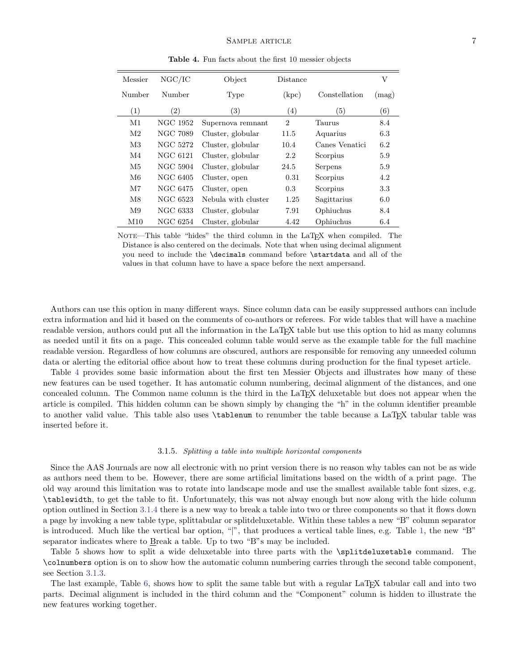| Messier        | NGC/IC   | Object              | Distance       |                | V     |
|----------------|----------|---------------------|----------------|----------------|-------|
| Number         | Number   | Type                | (kpc)          | Constellation  | (mag) |
| (1)            | (2)      | (3)                 | (4)            | (5)            | (6)   |
| M1             | NGC 1952 | Supernova remnant   | $\overline{2}$ | Taurus         | 8.4   |
| M <sub>2</sub> | NGC 7089 | Cluster, globular   | 11.5           | Aquarius       | 6.3   |
| M3             | NGC 5272 | Cluster, globular   | 10.4           | Canes Venatici | 6.2   |
| M4             | NGC 6121 | Cluster, globular   | 2.2            | Scorpius       | 5.9   |
| M5             | NGC 5904 | Cluster, globular   | 24.5           | Serpens        | 5.9   |
| M6             | NGC 6405 | Cluster, open       | 0.31           | Scorpius       | 4.2   |
| M7             | NGC 6475 | Cluster, open       | 0.3            | Scorpius       | 3.3   |
| M8             | NGC 6523 | Nebula with cluster | 1.25           | Sagittarius    | 6.0   |
| M <sub>9</sub> | NGC 6333 | Cluster, globular   | 7.91           | Ophiuchus      | 8.4   |
| M10            | NGC 6254 | Cluster, globular   | 4.42           | Ophiuchus      | 6.4   |

<span id="page-6-0"></span>Table 4. Fun facts about the first 10 messier objects

NOTE—This table "hides" the third column in the LaT<sub>E</sub>X when compiled. The Distance is also centered on the decimals. Note that when using decimal alignment you need to include the \decimals command before \startdata and all of the values in that column have to have a space before the next ampersand.

Authors can use this option in many different ways. Since column data can be easily suppressed authors can include extra information and hid it based on the comments of co-authors or referees. For wide tables that will have a machine readable version, authors could put all the information in the LaT<sub>E</sub>X table but use this option to hid as many columns as needed until it fits on a page. This concealed column table would serve as the example table for the full machine readable version. Regardless of how columns are obscured, authors are responsible for removing any unneeded column data or alerting the editorial office about how to treat these columns during production for the final typeset article.

Table [4](#page-6-0) provides some basic information about the first ten Messier Objects and illustrates how many of these new features can be used together. It has automatic column numbering, decimal alignment of the distances, and one concealed column. The Common name column is the third in the LaTEX deluxetable but does not appear when the article is compiled. This hidden column can be shown simply by changing the "h" in the column identifier preamble to another valid value. This table also uses \tablenum to renumber the table because a LaTEX tabular table was inserted before it.

#### 3.1.5. Splitting a table into multiple horizontal components

Since the AAS Journals are now all electronic with no print version there is no reason why tables can not be as wide as authors need them to be. However, there are some artificial limitations based on the width of a print page. The old way around this limitation was to rotate into landscape mode and use the smallest available table font sizes, e.g. \tablewidth, to get the table to fit. Unfortunately, this was not alway enough but now along with the hide column option outlined in Section [3.1.4](#page-5-0) there is a new way to break a table into two or three components so that it flows down a page by invoking a new table type, splittabular or splitdeluxetable. Within these tables a new "B" column separator is introduced. Much like the vertical bar option, "|", that produces a vertical table lines, e.g. Table [1,](#page-2-1) the new "B" separator indicates where to Break a table. Up to two "B"s may be included.

Table 5 shows how to split a wide deluxetable into three parts with the \splitdeluxetable command. The \colnumbers option is on to show how the automatic column numbering carries through the second table component, see Section [3.1.3.](#page-5-1)

The last example, Table [6,](#page-7-1) shows how to split the same table but with a regular LaT<sub>EX</sub> tabular call and into two parts. Decimal alignment is included in the third column and the "Component" column is hidden to illustrate the new features working together.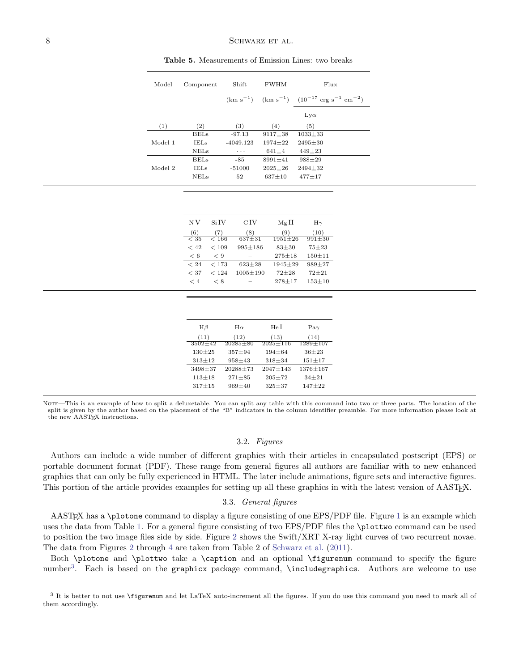| Model   | Component   | Shift       | <b>FWHM</b>   | Flux                                                        |
|---------|-------------|-------------|---------------|-------------------------------------------------------------|
|         |             |             |               | $(km s^{-1})$ $(km s^{-1})$ $(10^{-17} erg s^{-1} cm^{-2})$ |
|         |             |             |               | $Lv\alpha$                                                  |
| (1)     | (2)         | (3)         | (4)           | (5)                                                         |
|         | <b>BELs</b> | $-97.13$    | $9117 \pm 38$ | $1033 + 33$                                                 |
| Model 1 | <b>IELs</b> | $-4049.123$ | $1974 \pm 22$ | $2495 + 30$                                                 |
|         | <b>NELs</b> | $\cdots$    | $641 \pm 4$   | $449 \pm 23$                                                |
|         | <b>BELs</b> | $-85$       | $8991 \pm 41$ | $988 + 29$                                                  |
| Model 2 | <b>IELs</b> | $-51000$    | $2025 \pm 26$ | $2494 \pm 32$                                               |
|         | <b>NELS</b> | 52          | $637+10$      | $477 + 17$                                                  |

<span id="page-7-1"></span>Table 5. Measurements of Emission Lines: two breaks

| N V      | Si IV        | $\rm C\,IV$    | MgII          | $H\gamma$  |
|----------|--------------|----------------|---------------|------------|
| (6)      | (7)          | (8)            | (9)           | (10)       |
| $< 35\,$ | < 166        | $637 + 31$     | $1951 \pm 26$ | 991±30     |
| < 42     | ${}_{<}$ 109 | $995 \pm 186$  | $83 + 30$     | $75 + 23$  |
| < 6      | $\lt 9$      |                | $275 \pm 18$  | $150 + 11$ |
| < 24     | < 173        | $623 + 28$     | $1945 \pm 29$ | $989 + 27$ |
| < 37     | < 124        | $1005 \pm 190$ | $72 + 28$     | $72 + 21$  |
| $\lt$ 4  | < 8          |                | $278 + 17$    | $153 + 10$ |

| $H\beta$      | $H\alpha$    | He I           | $Pa\gamma$     |
|---------------|--------------|----------------|----------------|
| (11)          | (12)         | (13)           | (14)           |
| $3502 \pm 42$ | $20285 + 80$ | $2025 \pm 116$ | $1289 \pm 107$ |
| $130 + 25$    | $357 + 94$   | $194 + 64$     | $36 + 23$      |
| $313 + 12$    | $958 + 43$   | $318 + 34$     | $151 + 17$     |
| $3498 + 37$   | $20288 + 73$ | $2047 \pm 143$ | 1376±167       |
| $113 + 18$    | $271 + 85$   | $205 + 72$     | $34 + 21$      |
| $317 + 15$    | $969 + 40$   | $325 + 37$     | $147 + 22$     |
|               |              |                |                |

NOTE—This is an example of how to split a deluxetable. You can split any table with this command into two or three parts. The location of the split is given by the author based on the placement of the "B" indicators in the column identifier preamble. For more information please look at the new AASTEX instructions.

### 3.2. Figures

<span id="page-7-0"></span>Authors can include a wide number of different graphics with their articles in encapsulated postscript (EPS) or portable document format (PDF). These range from general figures all authors are familiar with to new enhanced graphics that can only be fully experienced in HTML. The later include animations, figure sets and interactive figures. This portion of the article provides examples for setting up all these graphics in with the latest version of AASTEX.

### 3.3. General figures

AAST<sub>EX</sub> has a \plotone command to display a figure consisting of one EPS/PDF file. Figure [1](#page-8-0) is an example which uses the data from Table [1.](#page-2-1) For a general figure consisting of two EPS/PDF files the \plottwo command can be used to position the two image files side by side. Figure [2](#page-9-0) shows the Swift/XRT X-ray light curves of two recurrent novae. The data from Figures [2](#page-9-0) through [4](#page-11-0) are taken from Table 2 of [Schwarz et al.](#page-17-2) [\(2011\)](#page-17-2).

Both \plotone and \plottwo take a \caption and an optional \figurenum command to specify the figure number<sup>[3](#page-7-2)</sup>. Each is based on the **graphicx** package command, **\includegraphics**. Authors are welcome to use

<span id="page-7-2"></span><sup>3</sup> It is better to not use \figurenum and let LaTeX auto-increment all the figures. If you do use this command you need to mark all of them accordingly.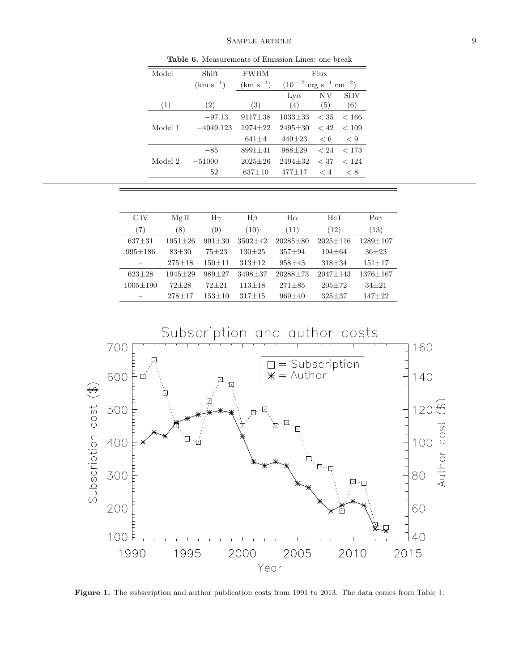### SAMPLE ARTICLE 9

| Model   | Shift         | <b>FWHM</b>   | Flux                                            |              |             |  |  |  |  |  |  |  |
|---------|---------------|---------------|-------------------------------------------------|--------------|-------------|--|--|--|--|--|--|--|
|         | $(km s^{-1})$ | $(km s^{-1})$ | $(10^{-17} \text{ erg s}^{-1} \text{ cm}^{-2})$ |              |             |  |  |  |  |  |  |  |
|         |               |               | $_{\text{Ly}\alpha}$                            | N V          | Si IV       |  |  |  |  |  |  |  |
| (1)     | (2)           | (3)           | (4)                                             | (5)          | (6)         |  |  |  |  |  |  |  |
|         | $-97.13$      | $9117 \pm 38$ | $1033 + 33$                                     | < 35         | < 166       |  |  |  |  |  |  |  |
| Model 1 | $-4049.123$   | $1974 + 22$   | $2495 + 30$                                     | ~< 42        | < 109       |  |  |  |  |  |  |  |
|         |               | $641 + 4$     | $449\pm23$                                      | $\leq 6$     | $\langle 9$ |  |  |  |  |  |  |  |
|         | $-85$         | $8991 + 41$   | $988 + 29$                                      | $\langle 24$ | < 173       |  |  |  |  |  |  |  |
| Model 2 | $-51000$      | $2025 + 26$   | $2494 + 32$                                     | < 37         | < 124       |  |  |  |  |  |  |  |
|         | 52            | $637 + 10$    | $477 + 17$                                      | $\lt 4$      | < 8         |  |  |  |  |  |  |  |
|         |               |               |                                                 |              |             |  |  |  |  |  |  |  |

Table 6. Measurements of Emission Lines: one break

| C IV           | MgII        | $\mathrm{H}\gamma$ | $H\beta$   | $H\alpha$    | He I         | $Pa\gamma$ |
|----------------|-------------|--------------------|------------|--------------|--------------|------------|
| (7)            | (8)         | (9)                | (10)       | (11)         | (12)         | (13)       |
| $637 + 31$     | $1951 + 26$ | $991 + 30$         | $3502+42$  | $20285 + 80$ | $2025 + 116$ | 1289+107   |
| $995 + 186$    | $83 + 30$   | $75 + 23$          | $130 + 25$ | $357 + 94$   | $194 + 64$   | $36 + 23$  |
|                | $275 + 18$  | $150 + 11$         | $313+12$   | $958 + 43$   | $318 + 34$   | $151 + 17$ |
| $623 + 28$     | $1945 + 29$ | $989 + 27$         | 3498+37    | $20288 + 73$ | $2047 + 143$ | 1376+167   |
| $1005 \pm 190$ | $72 + 28$   | $72 + 21$          | $113 + 18$ | $271 + 85$   | $205 + 72$   | $34 + 21$  |
|                | $278 + 17$  | $153 + 10$         | $317 + 15$ | $969+40$     | $325 + 37$   | $147 + 22$ |



<span id="page-8-0"></span>Figure 1. The subscription and author publication costs from 1991 to 2013. The data comes from Table [1.](#page-2-1)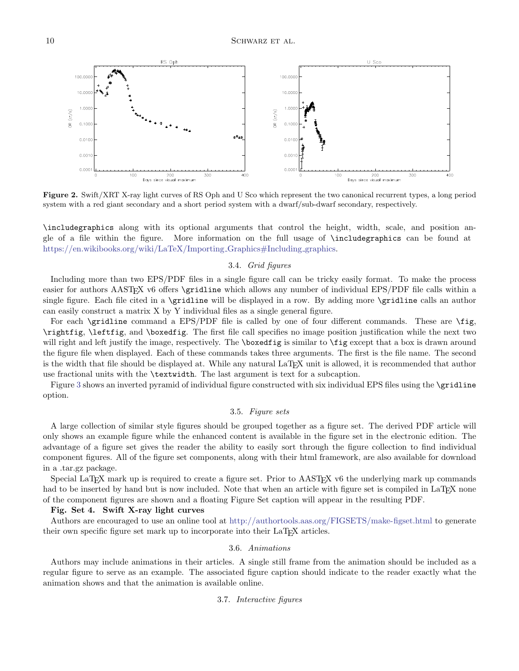

<span id="page-9-0"></span>Figure 2. Swift/XRT X-ray light curves of RS Oph and U Sco which represent the two canonical recurrent types, a long period system with a red giant secondary and a short period system with a dwarf/sub-dwarf secondary, respectively.

\includegraphics along with its optional arguments that control the height, width, scale, and position angle of a file within the figure. More information on the full usage of \includegraphics can be found at [https://en.wikibooks.org/wiki/LaTeX/Importing](https://en.wikibooks.org/wiki/LaTeX/Importing_Graphics#Including_graphics)\_Graphics#Including\_graphics.

### 3.4. Grid figures

Including more than two EPS/PDF files in a single figure call can be tricky easily format. To make the process easier for authors AASTEX v6 offers \gridline which allows any number of individual EPS/PDF file calls within a single figure. Each file cited in a \gridline will be displayed in a row. By adding more \gridline calls an author can easily construct a matrix X by Y individual files as a single general figure.

For each \gridline command a EPS/PDF file is called by one of four different commands. These are \fig, \rightfig, \leftfig, and \boxedfig. The first file call specifies no image position justification while the next two will right and left justify the image, respectively. The **\boxedfig** is similar to **\fig** except that a box is drawn around the figure file when displayed. Each of these commands takes three arguments. The first is the file name. The second is the width that file should be displayed at. While any natural LaT<sub>E</sub>X unit is allowed, it is recommended that author use fractional units with the \textwidth. The last argument is text for a subcaption.

Figure [3](#page-10-1) shows an inverted pyramid of individual figure constructed with six individual EPS files using the \gridline option.

### 3.5. Figure sets

A large collection of similar style figures should be grouped together as a figure set. The derived PDF article will only shows an example figure while the enhanced content is available in the figure set in the electronic edition. The advantage of a figure set gives the reader the ability to easily sort through the figure collection to find individual component figures. All of the figure set components, along with their html framework, are also available for download in a .tar.gz package.

Special LaT<sub>EX</sub> mark up is required to create a figure set. Prior to AAST<sub>EX</sub> v6 the underlying mark up commands had to be inserted by hand but is now included. Note that when an article with figure set is compiled in LaTEX none of the component figures are shown and a floating Figure Set caption will appear in the resulting PDF.

#### Fig. Set 4. Swift X-ray light curves

Authors are encouraged to use an online tool at <http://authortools.aas.org/FIGSETS/make-figset.html> to generate their own specific figure set mark up to incorporate into their LaT<sub>E</sub>X articles.

#### 3.6. Animations

Authors may include animations in their articles. A single still frame from the animation should be included as a regular figure to serve as an example. The associated figure caption should indicate to the reader exactly what the animation shows and that the animation is available online.

### 3.7. Interactive figures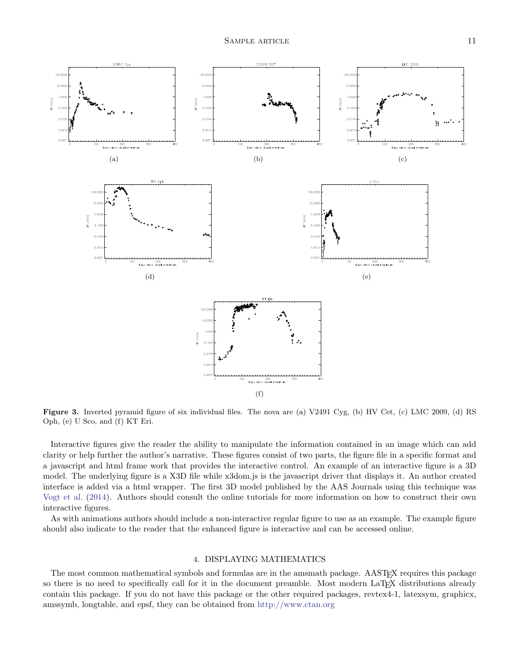

<span id="page-10-1"></span>Figure 3. Inverted pyramid figure of six individual files. The nova are (a) V2491 Cyg, (b) HV Cet, (c) LMC 2009, (d) RS Oph, (e) U Sco, and (f) KT Eri.

Interactive figures give the reader the ability to manipulate the information contained in an image which can add clarity or help further the author's narrative. These figures consist of two parts, the figure file in a specific format and a javascript and html frame work that provides the interactive control. An example of an interactive figure is a 3D model. The underlying figure is a X3D file while x3dom.js is the javascript driver that displays it. An author created interface is added via a html wrapper. The first 3D model published by the AAS Journals using this technique was [Vogt et al.](#page-17-3) [\(2014\)](#page-17-3). Authors should consult the online tutorials for more information on how to construct their own interactive figures.

As with animations authors should include a non-interactive regular figure to use as an example. The example figure should also indicate to the reader that the enhanced figure is interactive and can be accessed online.

#### 4. DISPLAYING MATHEMATICS

<span id="page-10-0"></span>The most common mathematical symbols and formulas are in the amsmath package. AASTEX requires this package so there is no need to specifically call for it in the document preamble. Most modern LaT<sub>EX</sub> distributions already contain this package. If you do not have this package or the other required packages, revtex4-1, latexsym, graphicx, amssymb, longtable, and epsf, they can be obtained from <http://www.ctan.org>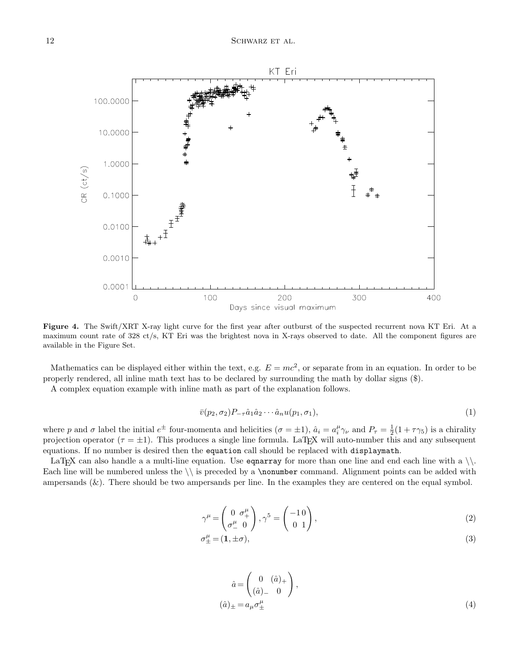

<span id="page-11-0"></span>Figure 4. The Swift/XRT X-ray light curve for the first year after outburst of the suspected recurrent nova KT Eri. At a maximum count rate of 328 ct/s, KT Eri was the brightest nova in X-rays observed to date. All the component figures are available in the Figure Set.

Mathematics can be displayed either within the text, e.g.  $E = mc^2$ , or separate from in an equation. In order to be properly rendered, all inline math text has to be declared by surrounding the math by dollar signs (\$).

A complex equation example with inline math as part of the explanation follows.

$$
\bar{v}(p_2, \sigma_2)P_{-\tau}\hat{a}_1\hat{a}_2\cdots\hat{a}_nu(p_1, \sigma_1),\tag{1}
$$

where p and  $\sigma$  label the initial  $e^{\pm}$  four-momenta and helicities  $(\sigma = \pm 1)$ ,  $\hat{a}_i = a_i^{\mu} \gamma_{\nu}$  and  $P_{\tau} = \frac{1}{2}(1 + \tau \gamma_5)$  is a chirality projection operator ( $\tau = \pm 1$ ). This produces a single line formula. LaTFX will auto-number this and any subsequent equations. If no number is desired then the equation call should be replaced with displaymath.

LaT<sub>E</sub>X can also handle a a multi-line equation. Use equarray for more than one line and end each line with a  $\backslash \backslash$ . Each line will be numbered unless the  $\iota$  is preceded by a **\nonumber** command. Alignment points can be added with ampersands  $(\&)$ . There should be two ampersands per line. In the examples they are centered on the equal symbol.

$$
\gamma^{\mu} = \begin{pmatrix} 0 & \sigma^{\mu}_{+} \\ \sigma^{\mu}_{-} & 0 \end{pmatrix}, \gamma^{5} = \begin{pmatrix} -1 & 0 \\ 0 & 1 \end{pmatrix}, \tag{2}
$$

$$
\sigma_{\pm}^{\mu} = (1, \pm \sigma), \tag{3}
$$

$$
\hat{a} = \begin{pmatrix} 0 & (\hat{a})_+ \\ (\hat{a})_- & 0 \end{pmatrix},
$$

$$
(\hat{a})_{\pm} = a_{\mu} \sigma_{\pm}^{\mu}
$$
 (4)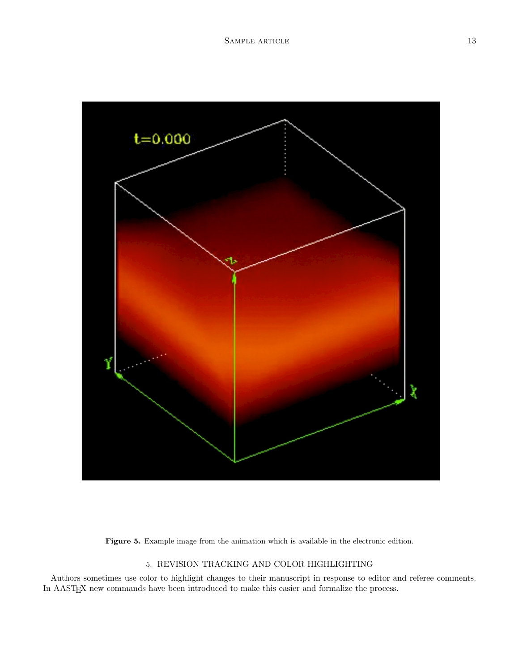

Figure 5. Example image from the animation which is available in the electronic edition.

# 5. REVISION TRACKING AND COLOR HIGHLIGHTING

<span id="page-12-0"></span>Authors sometimes use color to highlight changes to their manuscript in response to editor and referee comments. In AASTEX new commands have been introduced to make this easier and formalize the process.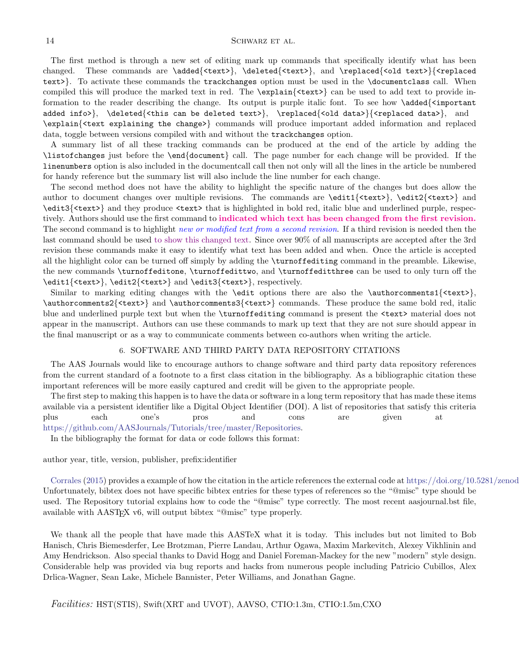#### 14 SCHWARZ ET AL.

The first method is through a new set of editing mark up commands that specifically identify what has been changed. These commands are \added{<text>}, \deleted{<text>}, and \replaced{<old text>}{<replaced text>}. To activate these commands the trackchanges option must be used in the \documentclass call. When compiled this will produce the marked text in red. The \explain{<text>} can be used to add text to provide information to the reader describing the change. Its output is purple italic font. To see how \added{<important added info>}, \deleted{<this can be deleted text>}, \replaced{<old data>}{<replaced data>}, and \explain{<text explaining the change>} commands will produce important added information and replaced data, toggle between versions compiled with and without the trackchanges option.

A summary list of all these tracking commands can be produced at the end of the article by adding the \listofchanges just before the \end{document} call. The page number for each change will be provided. If the linenumbers option is also included in the documentcall call then not only will all the lines in the article be numbered for handy reference but the summary list will also include the line number for each change.

The second method does not have the ability to highlight the specific nature of the changes but does allow the author to document changes over multiple revisions. The commands are  $\edit1{\text<}$ ,  $\edit2{\text<}$ , \edit3{<text>} and they produce <text> that is highlighted in bold red, italic blue and underlined purple, respectively. Authors should use the first command to indicated which text has been changed from the first revision. The second command is to highlight new or modified text from a second revision. If a third revision is needed then the last command should be used to show this changed text. Since over 90% of all manuscripts are accepted after the 3rd revision these commands make it easy to identify what text has been added and when. Once the article is accepted all the highlight color can be turned off simply by adding the \turnoffediting command in the preamble. Likewise, the new commands \turnoffeditone, \turnoffedittwo, and \turnoffeditthree can be used to only turn off the \edit1{<text>}, \edit2{<text>} and \edit3{<text>}, respectively.

Similar to marking editing changes with the **\edit** options there are also the **\authorcomments1**{ $\text{text>}$ }, \authorcomments2{<text>} and \authorcomments3{<text>} commands. These produce the same bold red, italic blue and underlined purple text but when the \turnoffediting command is present the <text> material does not appear in the manuscript. Authors can use these commands to mark up text that they are not sure should appear in the final manuscript or as a way to communicate comments between co-authors when writing the article.

#### 6. SOFTWARE AND THIRD PARTY DATA REPOSITORY CITATIONS

<span id="page-13-0"></span>The AAS Journals would like to encourage authors to change software and third party data repository references from the current standard of a footnote to a first class citation in the bibliography. As a bibliographic citation these important references will be more easily captured and credit will be given to the appropriate people.

The first step to making this happen is to have the data or software in a long term repository that has made these items available via a persistent identifier like a Digital Object Identifier (DOI). A list of repositories that satisfy this criteria plus each one's pros and cons are given at [https://github.com/AASJournals/Tutorials/tree/master/Repositories.](https://github.com/AASJournals/Tutorials/tree/master/Repositories)

In the bibliography the format for data or code follows this format:

author year, title, version, publisher, prefix:identifier

[Corrales](#page-17-4) [\(2015\)](#page-17-4) provides a example of how the citation in the article references the external code at https://doi.org/10.5281/zenod Unfortunately, bibtex does not have specific bibtex entries for these types of references so the "@misc" type should be used. The Repository tutorial explains how to code the "@misc" type correctly. The most recent aasjournal.bst file, available with AAST<sub>EX</sub> v6, will output bibtex "@misc" type properly.

We thank all the people that have made this AASTeX what it is today. This includes but not limited to Bob Hanisch, Chris Biemesderfer, Lee Brotzman, Pierre Landau, Arthur Ogawa, Maxim Markevitch, Alexey Vikhlinin and Amy Hendrickson. Also special thanks to David Hogg and Daniel Foreman-Mackey for the new "modern" style design. Considerable help was provided via bug reports and hacks from numerous people including Patricio Cubillos, Alex Drlica-Wagner, Sean Lake, Michele Bannister, Peter Williams, and Jonathan Gagne.

Facilities: HST(STIS), Swift(XRT and UVOT), AAVSO, CTIO:1.3m, CTIO:1.5m,CXO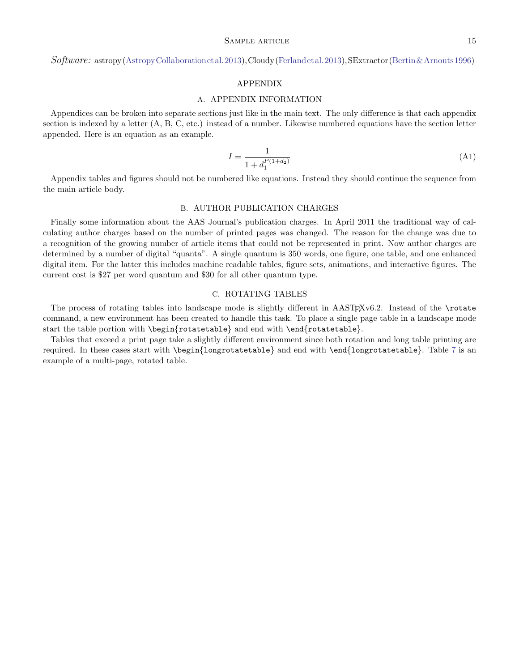### Software: astropy[\(AstropyCollaborationetal.2013\)](#page-17-5),Cloudy[\(Ferlandetal.2013\)](#page-17-6),SExtractor[\(Bertin&Arnouts1996\)](#page-17-7)

### APPENDIX

### A. APPENDIX INFORMATION

Appendices can be broken into separate sections just like in the main text. The only difference is that each appendix section is indexed by a letter (A, B, C, etc.) instead of a number. Likewise numbered equations have the section letter appended. Here is an equation as an example.

$$
I = \frac{1}{1 + d_1^{P(1 + d_2)}}\tag{A1}
$$

Appendix tables and figures should not be numbered like equations. Instead they should continue the sequence from the main article body.

#### B. AUTHOR PUBLICATION CHARGES

<span id="page-14-0"></span>Finally some information about the AAS Journal's publication charges. In April 2011 the traditional way of calculating author charges based on the number of printed pages was changed. The reason for the change was due to a recognition of the growing number of article items that could not be represented in print. Now author charges are determined by a number of digital "quanta". A single quantum is 350 words, one figure, one table, and one enhanced digital item. For the latter this includes machine readable tables, figure sets, animations, and interactive figures. The current cost is \$27 per word quantum and \$30 for all other quantum type.

# C. ROTATING TABLES

The process of rotating tables into landscape mode is slightly different in  $\text{AASTEXv6.2}$ . Instead of the \rotate command, a new environment has been created to handle this task. To place a single page table in a landscape mode start the table portion with \begin{rotatetable} and end with \end{rotatetable}.

Tables that exceed a print page take a slightly different environment since both rotation and long table printing are required. In these cases start with \begin{longrotatetable} and end with \end{longrotatetable}. Table [7](#page-15-0) is an example of a multi-page, rotated table.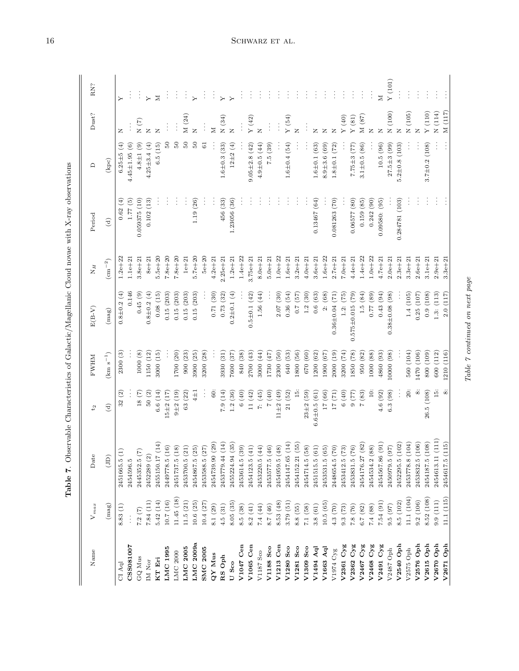| j<br>į                                                               |
|----------------------------------------------------------------------|
| $\sim$<br>i<br>ı<br>י<br>ו<br>;<br>;<br>;                            |
| $\frac{2}{3}$<br>$\frac{1}{2}$<br>-<br>-<br>-<br>-<br>-              |
| $\overline{\phantom{a}}$                                             |
| J                                                                    |
| .<br>أ                                                               |
| $\ddot{\zeta}$                                                       |
| į<br>Ì                                                               |
| labie I.<br>$\begin{array}{c} \hline \end{array}$<br>l<br>.<br> <br> |

| RN?            |                  | $\rightarrow$                |                     |                                        | $\overline{ }$     | $\geq$             |                   | ÷                 |                   | $\overline{\phantom{0}}$ | ł                 | İ                  | $\succ$            | $\ddot{ }$         |                  | $\vdots$            | ţ                 | $\vdots$          | ÷                 | $\vdots$           |                    |                  | ÷                  | ÷                       | $\vdots$             | ÷                 | $\vdots$               | Ì                                                       |                  | $\geq$             | Y(101)                |                     |                    | $\vdots$           |                     | $\vdots$            | $\vdots$          |
|----------------|------------------|------------------------------|---------------------|----------------------------------------|--------------------|--------------------|-------------------|-------------------|-------------------|--------------------------|-------------------|--------------------|--------------------|--------------------|------------------|---------------------|-------------------|-------------------|-------------------|--------------------|--------------------|------------------|--------------------|-------------------------|----------------------|-------------------|------------------------|---------------------------------------------------------|------------------|--------------------|-----------------------|---------------------|--------------------|--------------------|---------------------|---------------------|-------------------|
| Dust?          |                  | $\mathbb{Z}$                 |                     | N(7)                                   | Z                  | Z                  |                   | $\vdots$          | M (24)            | Z                        |                   | Z                  | N(34)              | Z                  |                  | $\mathbf{Y}$ (42)   |                   |                   | $\vdots$          | Y(54)              | Z                  |                  | Z                  | z                       | Z                    | ${\rm Y}$ (40)    | Y(81)                  | $M(87)$                                                 | Z                | Z                  | $N(100)$              | $\mathbb{Z}$        | $\rm N$ (105)      | $\overline{z}$     | $\mathbf{Y}$ (110)  | $N(114)$            | M(117)            |
| $\Box$         | (kpc)            | $6.25 \pm 5(4)$              | $4.45 \pm 1.95$ (6) | $4.8 \pm 1$ (9)                        | $4.25 \pm 3.4 (4)$ | 6.5(15)            | $\frac{50}{2}$    | $\frac{6}{2}$     | $50\,$            | S                        | 61                |                    | $1.6 \pm 0.3$ (33) | $12\pm2(4)$        |                  | $9.05 \pm 2.8$ (42) | $4.9\pm0.5(44)$   | 7.5(39)           |                   | $1.6 \pm 0.4$ (54) |                    |                  | $1.6 \pm 0.1$ (63) | $8.9 + 3.6(69)$         | $1.8 \pm 0.1$ (72)   |                   | $7.75 \pm 3(77)$       | $3.1 \pm 0.5$ (86)                                      |                  | 10.5(96)           | $27.5 \pm 3$ (99)     | $5.2 \pm 0.8$ (103) |                    |                    | $3.7 \pm 0.2$ (108) | $\vdots$            | $\vdots$          |
| Period         | $\binom{d}{b}$   | 0.62(4)                      | 1.77(5)             | 0.059375(10)                           | 0.102(13)          |                    |                   |                   | ċ                 | 1.19(26)                 |                   |                    | 456 (33)           | 1.23056 (36)       |                  |                     |                   |                   |                   |                    |                    |                  | 0.13467(64)        |                         | 0.081263(70)         |                   | 0.06577(80)            | 0.159(85)                                               | 0.242(90)        | 0.09580: (95)      |                       | 0.284781 (103)      |                    |                    |                     | $\vdots$            | $\vdots$          |
| $N_H$          | $\rm (cm^{-2})$  | $1.2e + 22$                  | $1.1e + 21$         | $3.8e + 21$                            | $8e + 21$          | $5.5e + 20$        | $7.8e + 20$       | $7.8e + 20$       | $1e + 21$         | $5.7e + 20$              | $5e+20$           | $4.2e + 21$        | $2.25e + 21$       | $1.2e + 21$        | $1.4e + 22$      | $3.75e + 21$        | $8.0e + 21$       | $5.0e + 21$       | $1.0e + 22$       | $1.6e + 21$        | $3.2e + 21$        | $4.0e + 21$      | $3.6e + 21$        | $1.6e + 22$             | $2.7e + 21$          | $7.0e + 21$       | $4.4e + 21$            | $1.4e + 22$                                             | $1.0e + 22$      | $4.7e + 21$        | $2.0e + 21$           | $2.3e + 21$         | $3.3e + 21$        | $2.6e + 21$        | $3.1e+21$           | $2.9e + 21$         | $3.3e + 21$       |
| $E(B-V)$       | (mag)            | $0.8\pm0.2(4)$               | 0.146               | 0.45(9)                                | $0.8 \pm 0.2$ (4)  | 0.08(15)           | 0.15(203)         | 0.15(203)         | 0.15(203)         | 0.15(203)                |                   | 0.71(30)           | 0.73(32)           | $0.2 \pm 0.1$ (4)  |                  | $0.5 \pm 0.1$ (42)  | 1.56(44)          |                   | 2.07(30)          | 0.36(54)           | (57)               | 1.2(30)          | 0.6(63)            | (68)<br>$\ddot{\alpha}$ | $0.36 \pm 0.04$ (71) | (75)<br>1.2       | $0.575 \pm 0.015$ (79) | 1.5(84)                                                 | $(68)$ $11.0$    | 0.43(94)           | (98)<br>$0.38 + 0.08$ |                     | 1.4(105)           | 0.25(107)          | 0.9(108)            | 1.3: (113)          | 2.0(117)          |
| <b>FWHM</b>    | $\rm(km~s^{-1})$ | 2300(3)                      |                     | 1000(8)                                | 1150 (12)          | 3000 (15)          |                   | 1700 (20)         | 900(23)           | 3900 (25)                | 3200 (28)         |                    | 3930 (31)          | 7600(37)           | (38)<br>840      | 2700 (43)           | 3000 (44)         | 1730 (47)         | 2300 (50)         | 640 (53)           | 1800 (56)          | 670 (60)         | 1200 (62)          | 1900 (67)               | (19)<br>2000         | 3200 (74)         | 1850 (78)              | 950 (82)                                                | 1000 (88)        | 4860 (93)          | 10000 (98)            |                     | 560 (104)          | 1470 (106)         | 800 (109)           | 600 (112)           | 1210 (116)        |
| t <sub>2</sub> | $\widehat{d}$    | 32(2)                        |                     | 18(7)                                  | $50\ (2)$          | 6.6(14)            | $15 \pm 2 (17)$   | $9 + 2(19)$       | 63 (22)           | $4\pm1$                  | $\vdots$          | Ŝ.                 | 7.9(14)            | 1.2(36)            | 6(40)            | 11(42)              | 7: (45)           | (0) 7             | $11\pm2(49)$      | 21(52)             | $\frac{15}{1}$     | $23 + 2(59)$     | $6.6 \pm 0.5(61)$  | 17 <sub>(66)</sub>      | 17(71)               | 6(40)             | (77)                   | 7(83)                                                   | $\frac{1}{2}$    | 4.6(92)            | 6.3(98)               |                     | $\overline{20}$    | öö                 | 26.5 (108)          | 15                  | $\dot{\infty}$    |
| Date           | (JD)             | $\widehat{\Xi}$<br>2451665.5 | 2454596.5           | $\widetilde{\mathcal{L}}$<br>2445352.5 | 2452289 (2)        | (14)<br>2455150.17 | (16)<br>2449778.5 | (18)<br>2451737.5 | (21)<br>2453700.5 | (25)<br>2454867.5        | (27)<br>2453588.5 | (29)<br>2454739.90 | (14)<br>2453779.44 | (35)<br>2455224.94 | 39)<br>2453614.5 | (41)<br>2454123.5   | (44)<br>2453220.5 | (46)<br>2453577.5 | (48)<br>2454959.5 | (14)<br>2454147.65 | (55)<br>2454152.21 | 58)<br>2454714.5 | (61)<br>2451515.5  | (65)<br>2453531.5       | (02)<br>2448654.5    | (73)<br>2453412.5 | (92)<br>2453831.5      | (82)<br>2454176.27                                      | 88)<br>2454534.2 | (91)<br>2454567.86 | (26)<br>2450979.5     | (102)<br>2452295.5  | (104)<br>2453778.8 | (106)<br>2453832.5 | (108)<br>2454187.5  | (111)<br>2454613.11 | 115)<br>2454617.5 |
| $V_{max}$      | (mag)            | 8.83(1)                      |                     | 7.2(7)                                 | 7.84(11)           | 5.42(14)           | (0.7)(16)         | (1.45(18))        | 11.5(21)          | 10.6(25)                 | 10.4(27)          | 8.1 (29)           | 4.5(31)            | 8.05(35)           | 8.5(38)          | 8.2(41)             | 7.4(44)           | 8.7 $(46)$        | 8.53 (48)         | 3.79 (51)          | 8.8(55)            | 7.1(58)          | 3.8(61)            | 10.5(65)                | 4.3 (70)             | 9.3(73)           |                        | $\begin{array}{c} 7.8 \ (76) \\ 6.7 \ (82) \end{array}$ | 7.4(88)          | 7.54(91)           | 9.5(97)               | 8.5 (102)           | 11.1(104)          | 9.2(106)           | 8.52 (108)          | 9.9(111)            | 11.1(115)         |
| Name           |                  | $\rm CI~Aql$                 | CSS081007           | GQ Mus                                 | IM Nor             | KT Eri             | LMC 1995          | $LMC$ 2000        | <b>LMC 2005</b>   | LMC2009a                 | <b>SMC 2005</b>   | QY Mus             | RS Oph             | U Sco              | V1047 Cen        | V1065 Cen           | V1187 Sco         | V1188 Sco         | V1213 Cen         | V1280 Sco          | V1281 Sco          | V1309 Sco        | V1494 Aq           | $V1663$ Aql             | V1974 Cyg            | V2361 Cyg         | V2362 Cyg              | V2467 Cyg                                               | V2468 Cyg        | $V2491$ $Cyg$      | V2487 Oph             | V2540 Oph           | $\rm V2575$ Oph    | V2576 Oph          | V2615 Oph           | V2670 Oph           | V2671 Oph         |

Table 7 continued on next page

Table  $\it 7$  continued on next page

# <span id="page-15-0"></span> $16$   $$\rm \,SCHWARZ$  et al.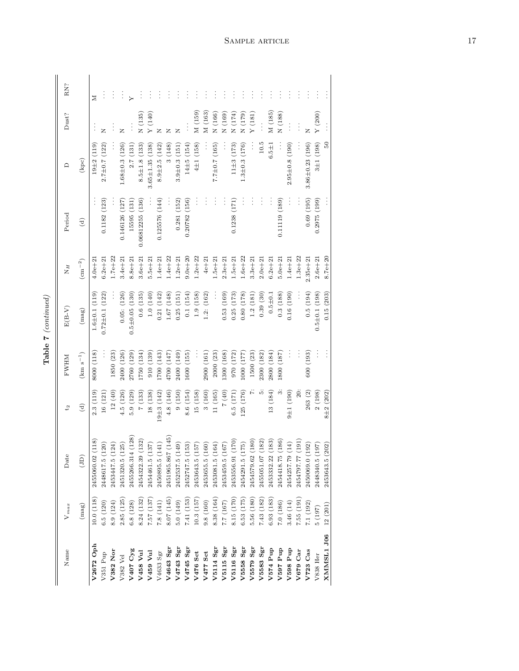| t |
|---|
| ľ |

| Name          | $V_{max}$  | Date                               | t <sub>2</sub>    | <b>EWHM</b>      | $\mathrm{E}(\mathrm{B}\text{-}\mathrm{V})$ | $N_H$           | Period          | ≏                     | Dust?                   | RN?      |
|---------------|------------|------------------------------------|-------------------|------------------|--------------------------------------------|-----------------|-----------------|-----------------------|-------------------------|----------|
|               | (mag)      | (D)                                | $\widehat{c}$     | $\rm(km~s^{-1})$ | (mag)                                      | $\rm (cm^{-2})$ | $\ominus$       | (kpc)                 |                         |          |
| V2672 Oph     | 10.0(118)  | 118)<br>2455060.02                 | 2.3(119)          | 8000 (118)       | $1.6 \pm 0.1$ (119)                        | $4.0e + 2.$     |                 | $19\pm2(119)$         |                         | z        |
| V351 Pup      | 6.5(120)   | 20)<br>2448617.5 (1                | 16(121)           |                  | $0.72 \pm 0.1$ (122)                       | $6.2e + 21$     | 0.1182(123)     | $2.7 \pm 0.7 (122)$   | z                       |          |
| V382 Nor      | 8.9 (124)  | 24)<br>2453447.5 (1                | 12(40)            | 1850 (23)        |                                            | $1.7e + 22$     |                 |                       |                         | $\vdots$ |
| V382 Vel      | 2.85 (125) | $25\big)$<br>2451320.5 (1          | 4.5 (126)         | 2400 (126)       | 0.05: (126)                                | $3.4e + 21$     | 0.146126 (127)  | $1.68 \pm 0.3$ (126)  | Z                       | $\vdots$ |
| V407 Cyg      | 6.8(128)   | $\left( 128\right)$<br>2455266.314 | 5.9(129)          | 2760 (129)       | $0.5\pm0.05$ (130)                         | $8.8e + 2$      | 15595 (131)     | 2.7(131)              |                         |          |
| V458 Vul      | 8.24 (132) | 132)<br>2454322.39                 | 7(133)            | (134)            | 0.6(135)                                   | $3.6e + 21$     | 0.06812255(136) | $8.5 \pm 1.8$ (133)   | N(135)                  |          |
| V459 Vul      | 7.57(137)  | 37)<br>2454461.5 (1                | 18 (138)          | 910 (139)        | 1.0(140)                                   | $5.5e + 21$     |                 | $3.65 \pm 1.35$ (138) | $\mathbf{Y}$ (140)      |          |
| V4633 Sgr     | 7.8(141)   | 41)<br>2450895.5 (1                | $19\pm3(142)$     | [700 (143)       | 0.21(142)                                  | $1.4e + 21$     | 0.125576(144)   | $8.9 \pm 2.5 (142)$   | $\mathbb{Z}$            |          |
| V4643 Sgr     | 8.07 (145) | (145)<br>2451965.867               | 4.8 (146)         | $(147)$ 0071     | (148)<br>1.67                              | $1.4e + 22$     |                 | (148)<br>$\infty$     |                         |          |
| V4743 Sgr     | 5.0(149)   | $(64)$<br>2452537.5 (1             | 9(150)            | 2400 (149)       | (151)<br>0.25(                             | $1.2e + 21$     | 0.281(152)      | $3.9 \pm 0.3$ (151    |                         |          |
| V4745 Sgr     | 7.41(153)  | 53)<br>2452747.5 (1                | 8.6 (154)         | 1600 (155)       | 0.1(154)                                   | $9.0e + 20$     | 0.20782(156)    | $14\pm5(154)$         |                         | Ĵ        |
| V476 Sct      | 10.3(157)  | $57)$<br>2453643.5 (1              | 15 (158)          |                  | 1.9(158)                                   | $1.2e + 22$     |                 | $4\pm1(158)$          | M(159)                  |          |
| V477 Sct      | 9.8 (160)  | $60\,$<br>2453655.5 (1             | 3(160)            | 2900 (161)       | (162)<br>1.2                               | $4e + 21$       | Ĩ.              |                       | M (163)                 | ÷,       |
| V5114 Sgr     | 8.38 (164) | 2453081.5 (164)                    | 11 (165)          | 2000 (23)        |                                            | $1.5e + 21$     | Ì               | $7.7 \pm 0.7$ (165)   | $N(166)$                | ÷        |
| V5115 Sgr     | 7.7 (167)  | $67) \,$<br>2453459.5 (1           | (0) 7             | (168)            | 0.53(169)                                  | $2.3e + 21$     | ÷               |                       | (169)<br>$\overline{z}$ | ÷,       |
| V5116 Sgr     | 8.15 (170) | 170)<br>2453556.91                 | 6.5(171)          | 970 (172)        | 0.25(173)                                  | $1.5e + 21$     | 0.1238(171)     | $11\pm3(173)$         | (174)<br>$\overline{z}$ | ÷,       |
| V5558 Sgr     | 6.53 (175) | $\left( 5\right)$<br>2454291.5 (1  | 125 (176)         | $(177)$ 000      | 0.80(178)                                  | $1.6e + 22$     |                 | $1.3 \pm 0.3$ (176)   | (179)<br>$\overline{z}$ | ÷,       |
| V5579 Sgr     | 5.56 (180) | 180)<br>2454579.62                 |                   | 1500 (23)        | 1.2(181)                                   | $3.3e + 21$     | ċ               |                       | (181)                   | ÷        |
| $V5583$ $Sgr$ | 7.43(182)  | 182)<br>2455051.07                 | r.                | 2300 (182)       | 0.39(30)                                   | $2.0e + 21$     | ł               | 10.5                  |                         | Ĩ,       |
| V574 Pup      | 6.93 (183) | 183)<br>2453332.22                 | 13 (184)          | 2800 (184)       | $0.5 + 0.1$                                | $6.2e + 21$     | ÷               | $6.5 + 1$             | M(185)                  | ÷,       |
| V597 Pup      | 7.0(186)   | 186)<br>2454418.75                 | $\ddot{\circ}$    | 1800 (187)       | 0.3(188)                                   | $5.0e + 21$     | 0.11119 (189)   |                       | $\rm N$ $(188)$         | ÷        |
| V598 Pup      | 3.46 (14)  | $14)$<br>2454257.79                | $(061)$ I $\pm 0$ | ÷.               | 0.16(190)                                  | $1.4e + 21$     | ÷               | $2.95 \pm 0.8$ (190)  | $\vdots$                |          |
| V679 Car      | 7.55(191)  | 191)<br>2454797.77                 | 20:               | ł                |                                            | $1.3e + 22$     | Ì               |                       |                         | ÷,       |
| $V723$ Cas    | 7.1(192)   | $92)$<br>2450069.0 (1              | 263(2)            | 600 (193)        | 0.5(194)                                   | $2.35e + 21$    | 0.69(195)       | $3.86 \pm 0.23$ (196) | Z                       | ÷        |
| V838 Her      | 5(197)     | 97)<br>2448340.5 (1                | 2(198)            | ÷                | $0.5\pm0.1(198)$                           | $2.6e + 21$     | (0.2975(199))   | $3\pm1(198)$          | Y(200)                  |          |
| XMMSL1 J06    | 12 (201)   | (2)<br>2453643.5 (2                | $8 + 2(202)$      |                  | 0.15(203)                                  | $8.7e + 20$     |                 | $50\,$                |                         |          |